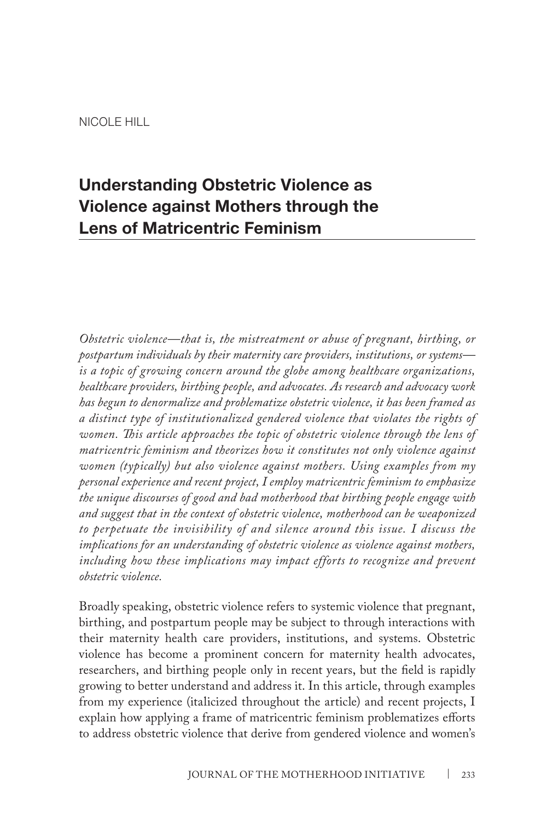# **Understanding Obstetric Violence as Violence against Mothers through the Lens of Matricentric Feminism**

*Obstetric violence—that is, the mistreatment or abuse of pregnant, birthing, or postpartum individuals by their maternity care providers, institutions, or systems is a topic of growing concern around the globe among healthcare organizations, healthcare providers, birthing people, and advocates. As research and advocacy work has begun to denormalize and problematize obstetric violence, it has been framed as a distinct type of institutionalized gendered violence that violates the rights of women. This article approaches the topic of obstetric violence through the lens of matricentric feminism and theorizes how it constitutes not only violence against women (typically) but also violence against mothers. Using examples from my personal experience and recent project, I employ matricentric feminism to emphasize the unique discourses of good and bad motherhood that birthing people engage with and suggest that in the context of obstetric violence, motherhood can be weaponized to perpetuate the invisibility of and silence around this issue. I discuss the implications for an understanding of obstetric violence as violence against mothers,*  including how these implications may impact efforts to recognize and prevent *obstetric violence.*

Broadly speaking, obstetric violence refers to systemic violence that pregnant, birthing, and postpartum people may be subject to through interactions with their maternity health care providers, institutions, and systems. Obstetric violence has become a prominent concern for maternity health advocates, researchers, and birthing people only in recent years, but the field is rapidly growing to better understand and address it. In this article, through examples from my experience (italicized throughout the article) and recent projects, I explain how applying a frame of matricentric feminism problematizes efforts to address obstetric violence that derive from gendered violence and women's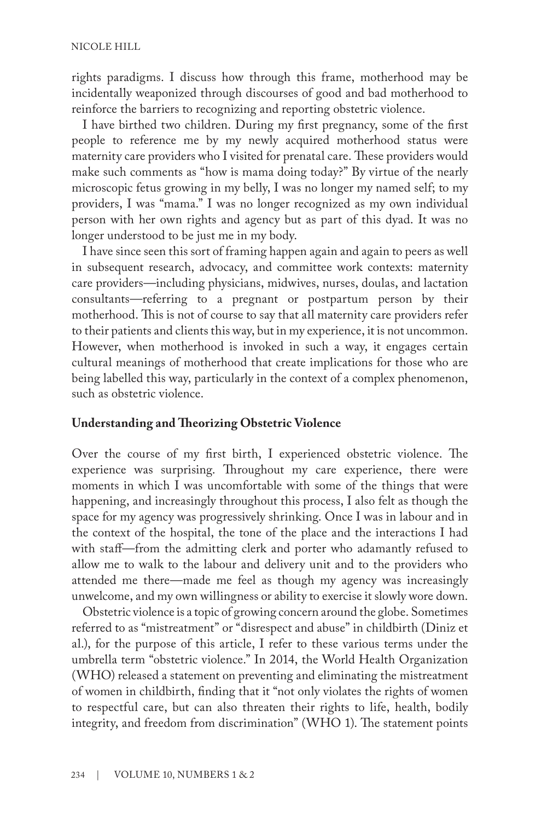rights paradigms. I discuss how through this frame, motherhood may be incidentally weaponized through discourses of good and bad motherhood to reinforce the barriers to recognizing and reporting obstetric violence.

I have birthed two children. During my first pregnancy, some of the first people to reference me by my newly acquired motherhood status were maternity care providers who I visited for prenatal care. These providers would make such comments as "how is mama doing today?" By virtue of the nearly microscopic fetus growing in my belly, I was no longer my named self; to my providers, I was "mama." I was no longer recognized as my own individual person with her own rights and agency but as part of this dyad. It was no longer understood to be just me in my body.

I have since seen this sort of framing happen again and again to peers as well in subsequent research, advocacy, and committee work contexts: maternity care providers—including physicians, midwives, nurses, doulas, and lactation consultants—referring to a pregnant or postpartum person by their motherhood. This is not of course to say that all maternity care providers refer to their patients and clients this way, but in my experience, it is not uncommon. However, when motherhood is invoked in such a way, it engages certain cultural meanings of motherhood that create implications for those who are being labelled this way, particularly in the context of a complex phenomenon, such as obstetric violence.

## **Understanding and Theorizing Obstetric Violence**

Over the course of my first birth, I experienced obstetric violence. The experience was surprising. Throughout my care experience, there were moments in which I was uncomfortable with some of the things that were happening, and increasingly throughout this process, I also felt as though the space for my agency was progressively shrinking. Once I was in labour and in the context of the hospital, the tone of the place and the interactions I had with staff—from the admitting clerk and porter who adamantly refused to allow me to walk to the labour and delivery unit and to the providers who attended me there—made me feel as though my agency was increasingly unwelcome, and my own willingness or ability to exercise it slowly wore down.

Obstetric violence is a topic of growing concern around the globe. Sometimes referred to as "mistreatment" or "disrespect and abuse" in childbirth (Diniz et al.), for the purpose of this article, I refer to these various terms under the umbrella term "obstetric violence." In 2014, the World Health Organization (WHO) released a statement on preventing and eliminating the mistreatment of women in childbirth, finding that it "not only violates the rights of women to respectful care, but can also threaten their rights to life, health, bodily integrity, and freedom from discrimination" (WHO 1). The statement points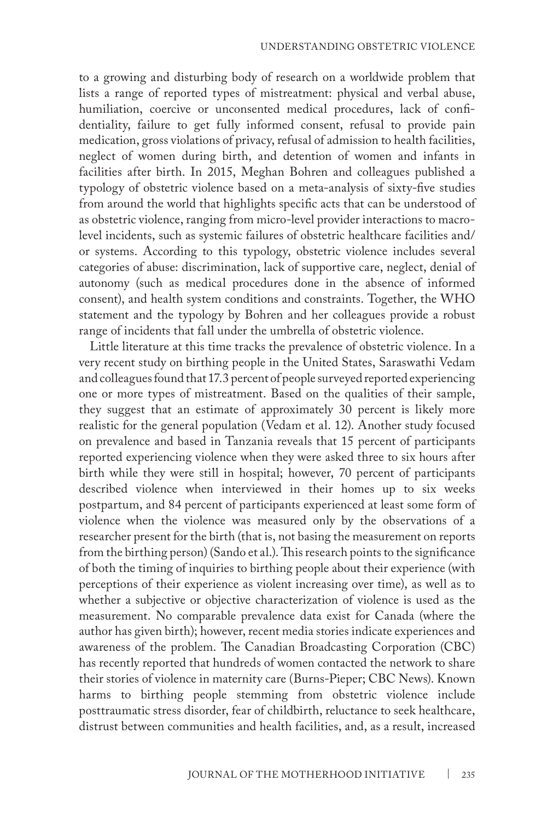to a growing and disturbing body of research on a worldwide problem that lists a range of reported types of mistreatment: physical and verbal abuse, humiliation, coercive or unconsented medical procedures, lack of confidentiality, failure to get fully informed consent, refusal to provide pain medication, gross violations of privacy, refusal of admission to health facilities, neglect of women during birth, and detention of women and infants in facilities after birth. In 2015, Meghan Bohren and colleagues published a typology of obstetric violence based on a meta-analysis of sixty-five studies from around the world that highlights specific acts that can be understood of as obstetric violence, ranging from micro-level provider interactions to macrolevel incidents, such as systemic failures of obstetric healthcare facilities and/ or systems. According to this typology, obstetric violence includes several categories of abuse: discrimination, lack of supportive care, neglect, denial of autonomy (such as medical procedures done in the absence of informed consent), and health system conditions and constraints. Together, the WHO statement and the typology by Bohren and her colleagues provide a robust range of incidents that fall under the umbrella of obstetric violence.

Little literature at this time tracks the prevalence of obstetric violence. In a very recent study on birthing people in the United States, Saraswathi Vedam and colleagues found that 17.3 percent of people surveyed reported experiencing one or more types of mistreatment. Based on the qualities of their sample, they suggest that an estimate of approximately 30 percent is likely more realistic for the general population (Vedam et al. 12). Another study focused on prevalence and based in Tanzania reveals that 15 percent of participants reported experiencing violence when they were asked three to six hours after birth while they were still in hospital; however, 70 percent of participants described violence when interviewed in their homes up to six weeks postpartum, and 84 percent of participants experienced at least some form of violence when the violence was measured only by the observations of a researcher present for the birth (that is, not basing the measurement on reports from the birthing person) (Sando et al.). This research points to the significance of both the timing of inquiries to birthing people about their experience (with perceptions of their experience as violent increasing over time), as well as to whether a subjective or objective characterization of violence is used as the measurement. No comparable prevalence data exist for Canada (where the author has given birth); however, recent media stories indicate experiences and awareness of the problem. The Canadian Broadcasting Corporation (CBC) has recently reported that hundreds of women contacted the network to share their stories of violence in maternity care (Burns-Pieper; CBC News). Known harms to birthing people stemming from obstetric violence include posttraumatic stress disorder, fear of childbirth, reluctance to seek healthcare, distrust between communities and health facilities, and, as a result, increased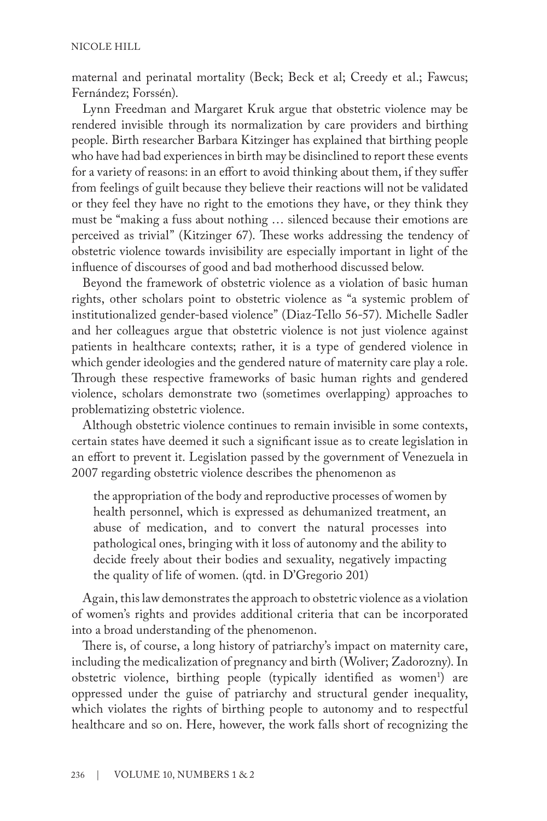maternal and perinatal mortality (Beck; Beck et al; Creedy et al.; Fawcus; Fernández; Forssén).

Lynn Freedman and Margaret Kruk argue that obstetric violence may be rendered invisible through its normalization by care providers and birthing people. Birth researcher Barbara Kitzinger has explained that birthing people who have had bad experiences in birth may be disinclined to report these events for a variety of reasons: in an effort to avoid thinking about them, if they suffer from feelings of guilt because they believe their reactions will not be validated or they feel they have no right to the emotions they have, or they think they must be "making a fuss about nothing … silenced because their emotions are perceived as trivial" (Kitzinger 67). These works addressing the tendency of obstetric violence towards invisibility are especially important in light of the influence of discourses of good and bad motherhood discussed below.

Beyond the framework of obstetric violence as a violation of basic human rights, other scholars point to obstetric violence as "a systemic problem of institutionalized gender-based violence" (Diaz-Tello 56-57). Michelle Sadler and her colleagues argue that obstetric violence is not just violence against patients in healthcare contexts; rather, it is a type of gendered violence in which gender ideologies and the gendered nature of maternity care play a role. Through these respective frameworks of basic human rights and gendered violence, scholars demonstrate two (sometimes overlapping) approaches to problematizing obstetric violence.

Although obstetric violence continues to remain invisible in some contexts, certain states have deemed it such a significant issue as to create legislation in an effort to prevent it. Legislation passed by the government of Venezuela in 2007 regarding obstetric violence describes the phenomenon as

the appropriation of the body and reproductive processes of women by health personnel, which is expressed as dehumanized treatment, an abuse of medication, and to convert the natural processes into pathological ones, bringing with it loss of autonomy and the ability to decide freely about their bodies and sexuality, negatively impacting the quality of life of women. (qtd. in D'Gregorio 201)

Again, this law demonstrates the approach to obstetric violence as a violation of women's rights and provides additional criteria that can be incorporated into a broad understanding of the phenomenon.

There is, of course, a long history of patriarchy's impact on maternity care, including the medicalization of pregnancy and birth (Woliver; Zadorozny). In obstetric violence, birthing people (typically identified as women<sup>1</sup>) are oppressed under the guise of patriarchy and structural gender inequality, which violates the rights of birthing people to autonomy and to respectful healthcare and so on. Here, however, the work falls short of recognizing the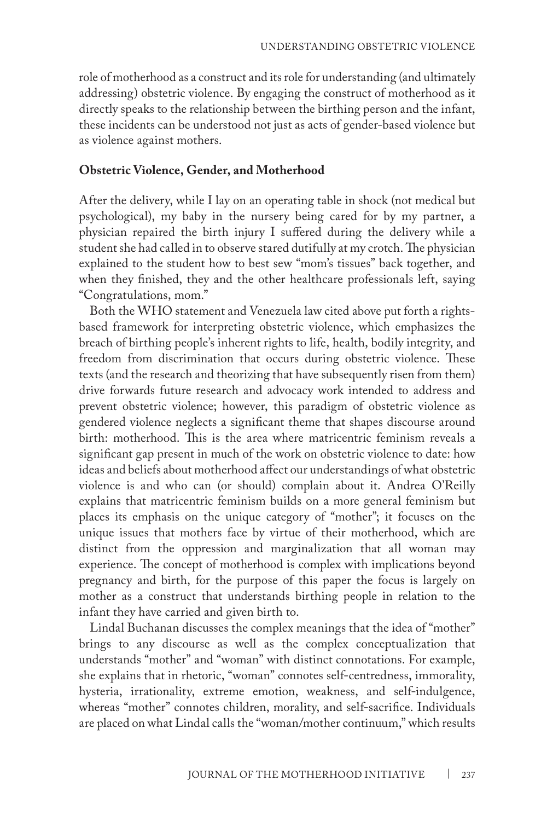role of motherhood as a construct and its role for understanding (and ultimately addressing) obstetric violence. By engaging the construct of motherhood as it directly speaks to the relationship between the birthing person and the infant, these incidents can be understood not just as acts of gender-based violence but as violence against mothers.

#### **Obstetric Violence, Gender, and Motherhood**

After the delivery, while I lay on an operating table in shock (not medical but psychological), my baby in the nursery being cared for by my partner, a physician repaired the birth injury I suffered during the delivery while a student she had called in to observe stared dutifully at my crotch. The physician explained to the student how to best sew "mom's tissues" back together, and when they finished, they and the other healthcare professionals left, saying "Congratulations, mom."

Both the WHO statement and Venezuela law cited above put forth a rightsbased framework for interpreting obstetric violence, which emphasizes the breach of birthing people's inherent rights to life, health, bodily integrity, and freedom from discrimination that occurs during obstetric violence. These texts (and the research and theorizing that have subsequently risen from them) drive forwards future research and advocacy work intended to address and prevent obstetric violence; however, this paradigm of obstetric violence as gendered violence neglects a significant theme that shapes discourse around birth: motherhood. This is the area where matricentric feminism reveals a significant gap present in much of the work on obstetric violence to date: how ideas and beliefs about motherhood affect our understandings of what obstetric violence is and who can (or should) complain about it. Andrea O'Reilly explains that matricentric feminism builds on a more general feminism but places its emphasis on the unique category of "mother"; it focuses on the unique issues that mothers face by virtue of their motherhood, which are distinct from the oppression and marginalization that all woman may experience. The concept of motherhood is complex with implications beyond pregnancy and birth, for the purpose of this paper the focus is largely on mother as a construct that understands birthing people in relation to the infant they have carried and given birth to.

Lindal Buchanan discusses the complex meanings that the idea of "mother" brings to any discourse as well as the complex conceptualization that understands "mother" and "woman" with distinct connotations. For example, she explains that in rhetoric, "woman" connotes self-centredness, immorality, hysteria, irrationality, extreme emotion, weakness, and self-indulgence, whereas "mother" connotes children, morality, and self-sacrifice. Individuals are placed on what Lindal calls the "woman/mother continuum," which results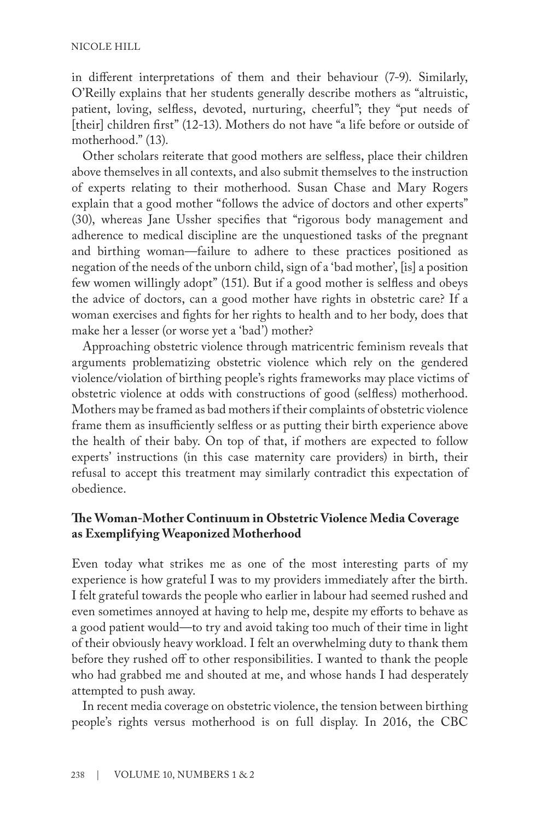in different interpretations of them and their behaviour (7-9). Similarly, O'Reilly explains that her students generally describe mothers as "altruistic, patient, loving, selfless, devoted, nurturing, cheerful"; they "put needs of [their] children first" (12-13). Mothers do not have "a life before or outside of motherhood." (13).

Other scholars reiterate that good mothers are selfless, place their children above themselves in all contexts, and also submit themselves to the instruction of experts relating to their motherhood. Susan Chase and Mary Rogers explain that a good mother "follows the advice of doctors and other experts" (30), whereas Jane Ussher specifies that "rigorous body management and adherence to medical discipline are the unquestioned tasks of the pregnant and birthing woman—failure to adhere to these practices positioned as negation of the needs of the unborn child, sign of a 'bad mother', [is] a position few women willingly adopt" (151). But if a good mother is selfless and obeys the advice of doctors, can a good mother have rights in obstetric care? If a woman exercises and fights for her rights to health and to her body, does that make her a lesser (or worse yet a 'bad') mother?

Approaching obstetric violence through matricentric feminism reveals that arguments problematizing obstetric violence which rely on the gendered violence/violation of birthing people's rights frameworks may place victims of obstetric violence at odds with constructions of good (selfless) motherhood. Mothers may be framed as bad mothers if their complaints of obstetric violence frame them as insufficiently selfless or as putting their birth experience above the health of their baby. On top of that, if mothers are expected to follow experts' instructions (in this case maternity care providers) in birth, their refusal to accept this treatment may similarly contradict this expectation of obedience.

# **The Woman-Mother Continuum in Obstetric Violence Media Coverage as Exemplifying Weaponized Motherhood**

Even today what strikes me as one of the most interesting parts of my experience is how grateful I was to my providers immediately after the birth. I felt grateful towards the people who earlier in labour had seemed rushed and even sometimes annoyed at having to help me, despite my efforts to behave as a good patient would—to try and avoid taking too much of their time in light of their obviously heavy workload. I felt an overwhelming duty to thank them before they rushed off to other responsibilities. I wanted to thank the people who had grabbed me and shouted at me, and whose hands I had desperately attempted to push away.

In recent media coverage on obstetric violence, the tension between birthing people's rights versus motherhood is on full display. In 2016, the CBC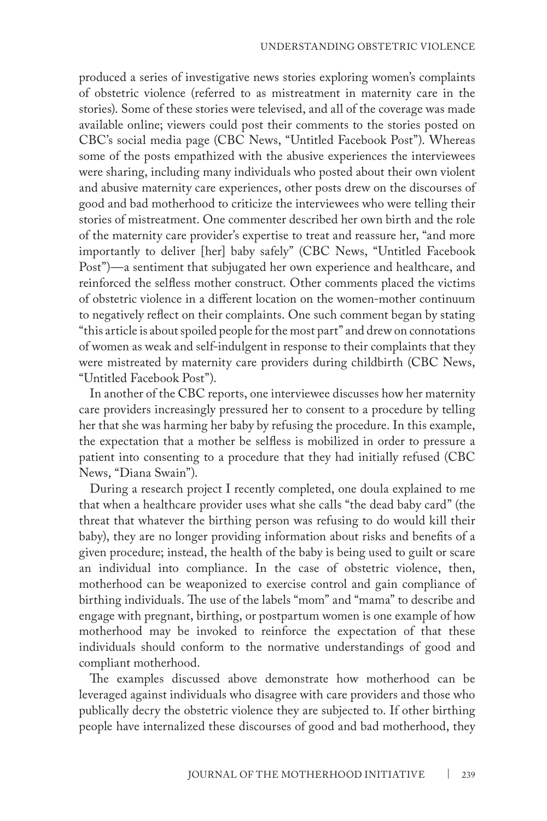produced a series of investigative news stories exploring women's complaints of obstetric violence (referred to as mistreatment in maternity care in the stories). Some of these stories were televised, and all of the coverage was made available online; viewers could post their comments to the stories posted on CBC's social media page (CBC News, "Untitled Facebook Post"). Whereas some of the posts empathized with the abusive experiences the interviewees were sharing, including many individuals who posted about their own violent and abusive maternity care experiences, other posts drew on the discourses of good and bad motherhood to criticize the interviewees who were telling their stories of mistreatment. One commenter described her own birth and the role of the maternity care provider's expertise to treat and reassure her, "and more importantly to deliver [her] baby safely" (CBC News, "Untitled Facebook Post")—a sentiment that subjugated her own experience and healthcare, and reinforced the selfless mother construct. Other comments placed the victims of obstetric violence in a different location on the women-mother continuum to negatively reflect on their complaints. One such comment began by stating "this article is about spoiled people for the most part" and drew on connotations of women as weak and self-indulgent in response to their complaints that they were mistreated by maternity care providers during childbirth (CBC News, "Untitled Facebook Post").

In another of the CBC reports, one interviewee discusses how her maternity care providers increasingly pressured her to consent to a procedure by telling her that she was harming her baby by refusing the procedure. In this example, the expectation that a mother be selfless is mobilized in order to pressure a patient into consenting to a procedure that they had initially refused (CBC News, "Diana Swain").

During a research project I recently completed, one doula explained to me that when a healthcare provider uses what she calls "the dead baby card" (the threat that whatever the birthing person was refusing to do would kill their baby), they are no longer providing information about risks and benefits of a given procedure; instead, the health of the baby is being used to guilt or scare an individual into compliance. In the case of obstetric violence, then, motherhood can be weaponized to exercise control and gain compliance of birthing individuals. The use of the labels "mom" and "mama" to describe and engage with pregnant, birthing, or postpartum women is one example of how motherhood may be invoked to reinforce the expectation of that these individuals should conform to the normative understandings of good and compliant motherhood.

The examples discussed above demonstrate how motherhood can be leveraged against individuals who disagree with care providers and those who publically decry the obstetric violence they are subjected to. If other birthing people have internalized these discourses of good and bad motherhood, they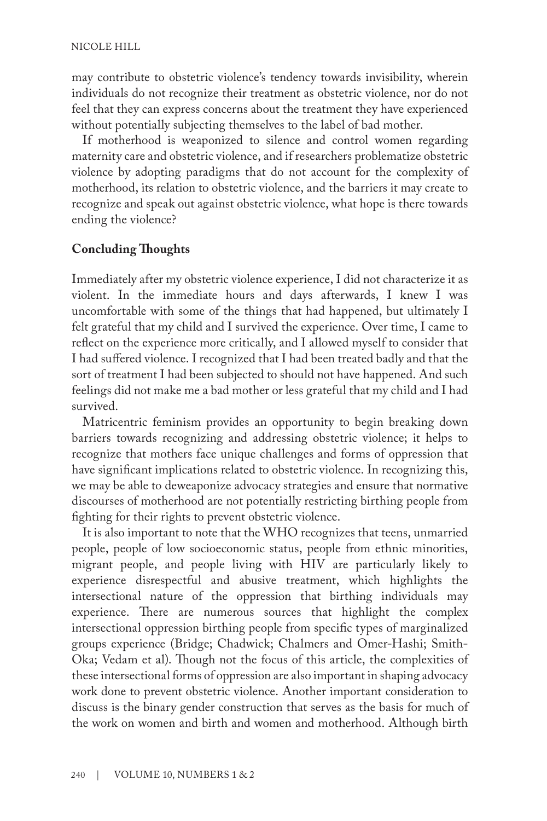may contribute to obstetric violence's tendency towards invisibility, wherein individuals do not recognize their treatment as obstetric violence, nor do not feel that they can express concerns about the treatment they have experienced without potentially subjecting themselves to the label of bad mother.

If motherhood is weaponized to silence and control women regarding maternity care and obstetric violence, and if researchers problematize obstetric violence by adopting paradigms that do not account for the complexity of motherhood, its relation to obstetric violence, and the barriers it may create to recognize and speak out against obstetric violence, what hope is there towards ending the violence?

## **Concluding Thoughts**

Immediately after my obstetric violence experience, I did not characterize it as violent. In the immediate hours and days afterwards, I knew I was uncomfortable with some of the things that had happened, but ultimately I felt grateful that my child and I survived the experience. Over time, I came to reflect on the experience more critically, and I allowed myself to consider that I had suffered violence. I recognized that I had been treated badly and that the sort of treatment I had been subjected to should not have happened. And such feelings did not make me a bad mother or less grateful that my child and I had survived.

Matricentric feminism provides an opportunity to begin breaking down barriers towards recognizing and addressing obstetric violence; it helps to recognize that mothers face unique challenges and forms of oppression that have significant implications related to obstetric violence. In recognizing this, we may be able to deweaponize advocacy strategies and ensure that normative discourses of motherhood are not potentially restricting birthing people from fighting for their rights to prevent obstetric violence.

It is also important to note that the WHO recognizes that teens, unmarried people, people of low socioeconomic status, people from ethnic minorities, migrant people, and people living with HIV are particularly likely to experience disrespectful and abusive treatment, which highlights the intersectional nature of the oppression that birthing individuals may experience. There are numerous sources that highlight the complex intersectional oppression birthing people from specific types of marginalized groups experience (Bridge; Chadwick; Chalmers and Omer-Hashi; Smith-Oka; Vedam et al). Though not the focus of this article, the complexities of these intersectional forms of oppression are also important in shaping advocacy work done to prevent obstetric violence. Another important consideration to discuss is the binary gender construction that serves as the basis for much of the work on women and birth and women and motherhood. Although birth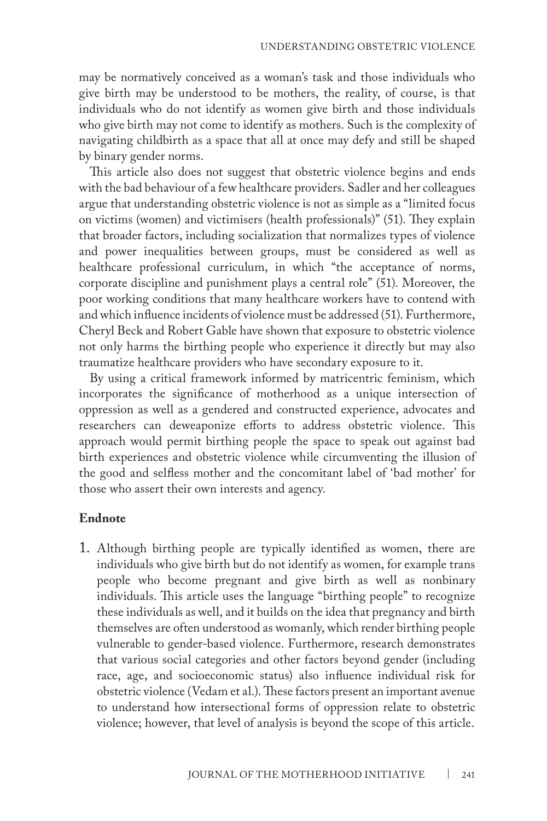may be normatively conceived as a woman's task and those individuals who give birth may be understood to be mothers, the reality, of course, is that individuals who do not identify as women give birth and those individuals who give birth may not come to identify as mothers. Such is the complexity of navigating childbirth as a space that all at once may defy and still be shaped by binary gender norms.

This article also does not suggest that obstetric violence begins and ends with the bad behaviour of a few healthcare providers. Sadler and her colleagues argue that understanding obstetric violence is not as simple as a "limited focus on victims (women) and victimisers (health professionals)" (51). They explain that broader factors, including socialization that normalizes types of violence and power inequalities between groups, must be considered as well as healthcare professional curriculum, in which "the acceptance of norms, corporate discipline and punishment plays a central role" (51). Moreover, the poor working conditions that many healthcare workers have to contend with and which influence incidents of violence must be addressed (51). Furthermore, Cheryl Beck and Robert Gable have shown that exposure to obstetric violence not only harms the birthing people who experience it directly but may also traumatize healthcare providers who have secondary exposure to it.

By using a critical framework informed by matricentric feminism, which incorporates the significance of motherhood as a unique intersection of oppression as well as a gendered and constructed experience, advocates and researchers can deweaponize efforts to address obstetric violence. This approach would permit birthing people the space to speak out against bad birth experiences and obstetric violence while circumventing the illusion of the good and selfless mother and the concomitant label of 'bad mother' for those who assert their own interests and agency.

#### **Endnote**

1. Although birthing people are typically identified as women, there are individuals who give birth but do not identify as women, for example trans people who become pregnant and give birth as well as nonbinary individuals. This article uses the language "birthing people" to recognize these individuals as well, and it builds on the idea that pregnancy and birth themselves are often understood as womanly, which render birthing people vulnerable to gender-based violence. Furthermore, research demonstrates that various social categories and other factors beyond gender (including race, age, and socioeconomic status) also influence individual risk for obstetric violence (Vedam et al.). These factors present an important avenue to understand how intersectional forms of oppression relate to obstetric violence; however, that level of analysis is beyond the scope of this article.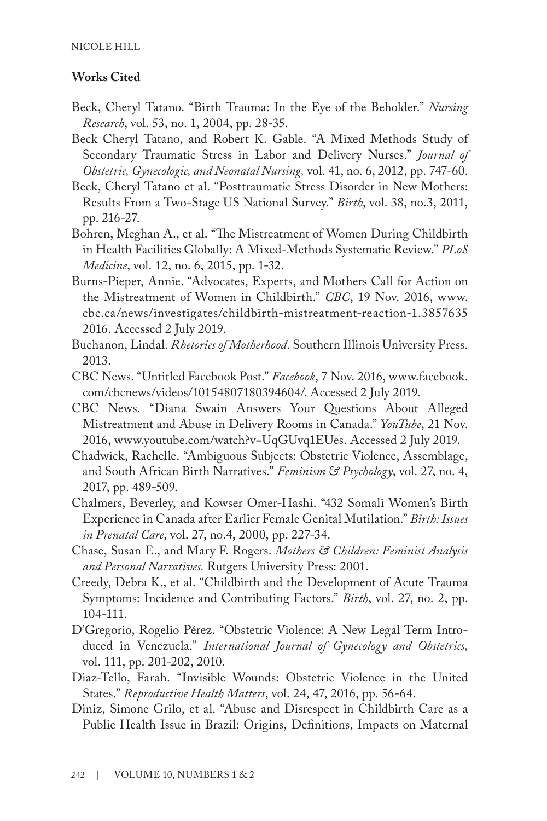# **Works Cited**

- Beck, Cheryl Tatano. "Birth Trauma: In the Eye of the Beholder." *Nursing Research*, vol. 53, no. 1, 2004, pp. 28-35.
- Beck Cheryl Tatano, and Robert K. Gable. "A Mixed Methods Study of Secondary Traumatic Stress in Labor and Delivery Nurses." *Journal of Obstetric, Gynecologic, and Neonatal Nursing,* vol. 41, no. 6, 2012, pp. 747-60.
- Beck, Cheryl Tatano et al. "Posttraumatic Stress Disorder in New Mothers: Results From a Two-Stage US National Survey." *Birth*, vol. 38, no.3, 2011, pp. 216-27.
- Bohren, Meghan A., et al. "The Mistreatment of Women During Childbirth in Health Facilities Globally: A Mixed-Methods Systematic Review." *PLoS Medicine*, vol. 12, no. 6, 2015, pp. 1-32.
- Burns-Pieper, Annie. "Advocates, Experts, and Mothers Call for Action on the Mistreatment of Women in Childbirth." *CBC*, 19 Nov. 2016, www. cbc.ca/news/investigates/childbirth-mistreatment-reaction-1.3857635 2016. Accessed 2 July 2019.
- Buchanon, Lindal. *Rhetorics of Motherhood*. Southern Illinois University Press. 2013.
- CBC News. "Untitled Facebook Post." *Facebook*, 7 Nov. 2016, www.facebook. com/cbcnews/videos/10154807180394604/. Accessed 2 July 2019.
- CBC News. "Diana Swain Answers Your Questions About Alleged Mistreatment and Abuse in Delivery Rooms in Canada." *YouTube*, 21 Nov. 2016, www.youtube.com/watch?v=UqGUvq1EUes. Accessed 2 July 2019.
- Chadwick, Rachelle. "Ambiguous Subjects: Obstetric Violence, Assemblage, and South African Birth Narratives." *Feminism & Psychology*, vol. 27, no. 4, 2017, pp. 489-509.
- Chalmers, Beverley, and Kowser Omer-Hashi. "432 Somali Women's Birth Experience in Canada after Earlier Female Genital Mutilation." *Birth: Issues in Prenatal Care*, vol. 27, no.4, 2000, pp. 227-34.
- Chase, Susan E., and Mary F. Rogers. *Mothers & Children: Feminist Analysis and Personal Narratives.* Rutgers University Press: 2001.
- Creedy, Debra K., et al. "Childbirth and the Development of Acute Trauma Symptoms: Incidence and Contributing Factors." *Birth*, vol. 27, no. 2, pp. 104-111.
- D'Gregorio, Rogelio Pérez. "Obstetric Violence: A New Legal Term Introduced in Venezuela." *International Journal of Gynecology and Obstetrics,* vol. 111, pp. 201-202, 2010.
- Diaz-Tello, Farah. "Invisible Wounds: Obstetric Violence in the United States." *Reproductive Health Matters*, vol. 24, 47, 2016, pp. 56-64.
- Diniz, Simone Grilo, et al. "Abuse and Disrespect in Childbirth Care as a Public Health Issue in Brazil: Origins, Definitions, Impacts on Maternal